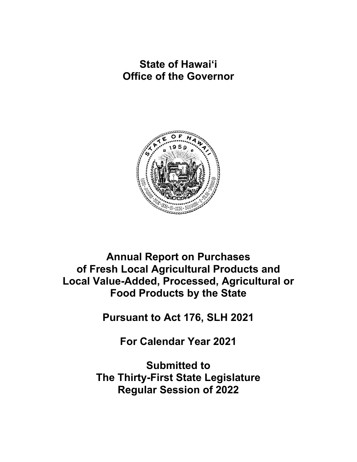**State of Hawaiʻi Office of the Governor**



**Annual Report on Purchases of Fresh Local Agricultural Products and Local Value-Added, Processed, Agricultural or Food Products by the State**

**Pursuant to Act 176, SLH 2021**

**For Calendar Year 2021**

**Submitted to The Thirty-First State Legislature Regular Session of 2022**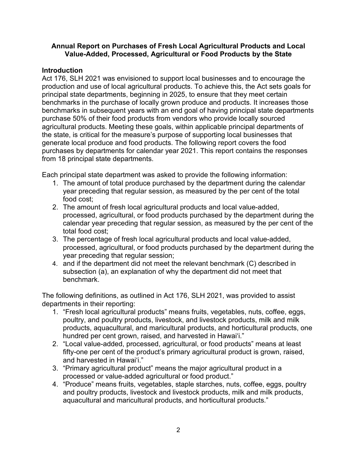#### **Annual Report on Purchases of Fresh Local Agricultural Products and Local Value-Added, Processed, Agricultural or Food Products by the State**

### **Introduction**

Act 176, SLH 2021 was envisioned to support local businesses and to encourage the production and use of local agricultural products. To achieve this, the Act sets goals for principal state departments, beginning in 2025, to ensure that they meet certain benchmarks in the purchase of locally grown produce and products. It increases those benchmarks in subsequent years with an end goal of having principal state departments purchase 50% of their food products from vendors who provide locally sourced agricultural products. Meeting these goals, within applicable principal departments of the state, is critical for the measure's purpose of supporting local businesses that generate local produce and food products. The following report covers the food purchases by departments for calendar year 2021. This report contains the responses from 18 principal state departments.

Each principal state department was asked to provide the following information:

- 1. The amount of total produce purchased by the department during the calendar year preceding that regular session, as measured by the per cent of the total food cost;
- 2. The amount of fresh local agricultural products and local value-added, processed, agricultural, or food products purchased by the department during the calendar year preceding that regular session, as measured by the per cent of the total food cost;
- 3. The percentage of fresh local agricultural products and local value-added, processed, agricultural, or food products purchased by the department during the year preceding that regular session;
- 4. and if the department did not meet the relevant benchmark (C) described in subsection (a), an explanation of why the department did not meet that benchmark.

The following definitions, as outlined in Act 176, SLH 2021, was provided to assist departments in their reporting:

- 1. "Fresh local agricultural products" means fruits, vegetables, nuts, coffee, eggs, poultry, and poultry products, livestock, and livestock products, milk and milk products, aquacultural, and maricultural products, and horticultural products, one hundred per cent grown, raised, and harvested in Hawaiʻi."
- 2. "Local value-added, processed, agricultural, or food products" means at least fifty-one per cent of the product's primary agricultural product is grown, raised, and harvested in Hawaiʻi."
- 3. "Primary agricultural product" means the major agricultural product in a processed or value-added agricultural or food product."
- 4. "Produce" means fruits, vegetables, staple starches, nuts, coffee, eggs, poultry and poultry products, livestock and livestock products, milk and milk products, aquacultural and maricultural products, and horticultural products."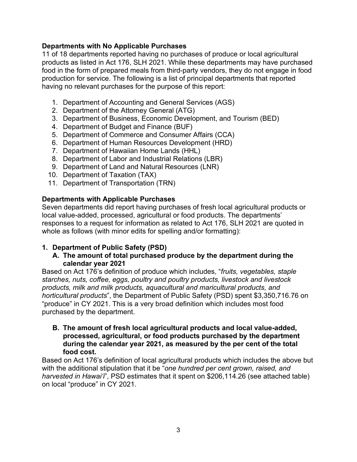# **Departments with No Applicable Purchases**

11 of 18 departments reported having no purchases of produce or local agricultural products as listed in Act 176, SLH 2021. While these departments may have purchased food in the form of prepared meals from third-party vendors, they do not engage in food production for service. The following is a list of principal departments that reported having no relevant purchases for the purpose of this report:

- 1. Department of Accounting and General Services (AGS)
- 2. Department of the Attorney General (ATG)
- 3. Department of Business, Economic Development, and Tourism (BED)
- 4. Department of Budget and Finance (BUF)
- 5. Department of Commerce and Consumer Affairs (CCA)
- 6. Department of Human Resources Development (HRD)
- 7. Department of Hawaiian Home Lands (HHL)
- 8. Department of Labor and Industrial Relations (LBR)
- 9. Department of Land and Natural Resources (LNR)
- 10. Department of Taxation (TAX)
- 11. Department of Transportation (TRN)

### **Departments with Applicable Purchases**

Seven departments did report having purchases of fresh local agricultural products or local value-added, processed, agricultural or food products. The departments' responses to a request for information as related to Act 176, SLH 2021 are quoted in whole as follows (with minor edits for spelling and/or formatting):

# **1. Department of Public Safety (PSD)**

### **A. The amount of total purchased produce by the department during the calendar year 2021**

Based on Act 176's definition of produce which includes, "*fruits, vegetables, staple starches, nuts, coffee, eggs, poultry and poultry products, livestock and livestock products, milk and milk products, aquacultural and maricultural products, and horticultural products*", the Department of Public Safety (PSD) spent \$3,350,716.76 on "produce" in CY 2021. This is a very broad definition which includes most food purchased by the department.

#### **B. The amount of fresh local agricultural products and local value-added, processed, agricultural, or food products purchased by the department during the calendar year 2021, as measured by the per cent of the total food cost.**

Based on Act 176's definition of local agricultural products which includes the above but with the additional stipulation that it be "*one hundred per cent grown, raised, and harvested in Hawaiʻi*", PSD estimates that it spent on \$206,114.26 (see attached table) on local "produce" in CY 2021.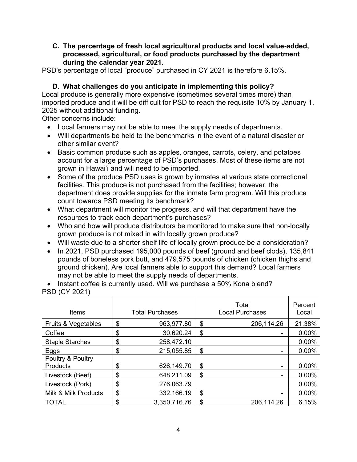#### **C. The percentage of fresh local agricultural products and local value-added, processed, agricultural, or food products purchased by the department during the calendar year 2021.**

PSD's percentage of local "produce" purchased in CY 2021 is therefore 6.15%.

# **D. What challenges do you anticipate in implementing this policy?**

Local produce is generally more expensive (sometimes several times more) than imported produce and it will be difficult for PSD to reach the requisite 10% by January 1, 2025 without additional funding.

Other concerns include:

- Local farmers may not be able to meet the supply needs of departments.
- Will departments be held to the benchmarks in the event of a natural disaster or other similar event?
- Basic common produce such as apples, oranges, carrots, celery, and potatoes account for a large percentage of PSD's purchases. Most of these items are not grown in Hawaiʻi and will need to be imported.
- Some of the produce PSD uses is grown by inmates at various state correctional facilities. This produce is not purchased from the facilities; however, the department does provide supplies for the inmate farm program. Will this produce count towards PSD meeting its benchmark?
- What department will monitor the progress, and will that department have the resources to track each department's purchases?
- Who and how will produce distributors be monitored to make sure that non-locally grown produce is not mixed in with locally grown produce?
- Will waste due to a shorter shelf life of locally grown produce be a consideration?
- In 2021, PSD purchased 195,000 pounds of beef (ground and beef clods), 135,841 pounds of boneless pork butt, and 479,575 pounds of chicken (chicken thighs and ground chicken). Are local farmers able to support this demand? Local farmers may not be able to meet the supply needs of departments.

• Instant coffee is currently used. Will we purchase a 50% Kona blend? PSD (CY 2021)

| Items                  | <b>Total Purchases</b> | Total<br><b>Local Purchases</b> | Percent<br>Local |
|------------------------|------------------------|---------------------------------|------------------|
| Fruits & Vegetables    | \$<br>963,977.80       | \$<br>206,114.26                | 21.38%           |
| Coffee                 | \$<br>30,620.24        | \$<br>۰                         | 0.00%            |
| <b>Staple Starches</b> | \$<br>258,472.10       |                                 | 0.00%            |
| Eggs                   | \$<br>215,055.85       | \$<br>۰                         | 0.00%            |
| Poultry & Poultry      |                        |                                 |                  |
| Products               | \$<br>626,149.70       | \$<br>٠                         | 0.00%            |
| Livestock (Beef)       | \$<br>648,211.09       | \$<br>۰                         | 0.00%            |
| Livestock (Pork)       | \$<br>276,063.79       |                                 | 0.00%            |
| Milk & Milk Products   | \$<br>332,166.19       | \$<br>-                         | 0.00%            |
| <b>TOTAL</b>           | \$<br>3,350,716.76     | \$<br>206,114.26                | 6.15%            |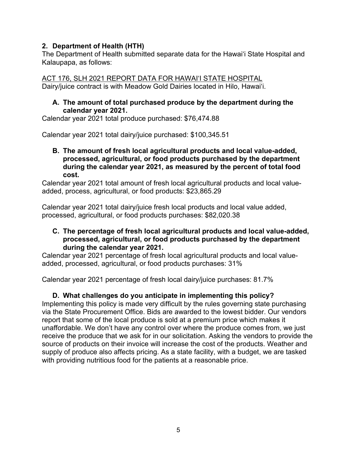# **2. Department of Health (HTH)**

The Department of Health submitted separate data for the Hawaiʻi State Hospital and Kalaupapa, as follows:

ACT 176, SLH 2021 REPORT DATA FOR HAWAIʻI STATE HOSPITAL Dairy/juice contract is with Meadow Gold Dairies located in Hilo, Hawaiʻi.

#### **A. The amount of total purchased produce by the department during the calendar year 2021.**

Calendar year 2021 total produce purchased: \$76,474.88

Calendar year 2021 total dairy/juice purchased: \$100,345.51

#### **B. The amount of fresh local agricultural products and local value-added, processed, agricultural, or food products purchased by the department during the calendar year 2021, as measured by the percent of total food cost.**

Calendar year 2021 total amount of fresh local agricultural products and local valueadded, process, agricultural, or food products: \$23,865.29

Calendar year 2021 total dairy/juice fresh local products and local value added, processed, agricultural, or food products purchases: \$82,020.38

### **C. The percentage of fresh local agricultural products and local value-added, processed, agricultural, or food products purchased by the department during the calendar year 2021.**

Calendar year 2021 percentage of fresh local agricultural products and local valueadded, processed, agricultural, or food products purchases: 31%

Calendar year 2021 percentage of fresh local dairy/juice purchases: 81.7%

# **D. What challenges do you anticipate in implementing this policy?**

Implementing this policy is made very difficult by the rules governing state purchasing via the State Procurement Office. Bids are awarded to the lowest bidder. Our vendors report that some of the local produce is sold at a premium price which makes it unaffordable. We don't have any control over where the produce comes from, we just receive the produce that we ask for in our solicitation. Asking the vendors to provide the source of products on their invoice will increase the cost of the products. Weather and supply of produce also affects pricing. As a state facility, with a budget, we are tasked with providing nutritious food for the patients at a reasonable price.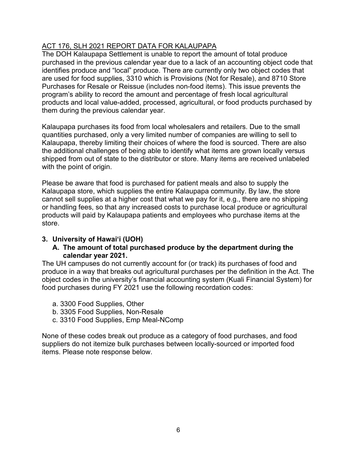# ACT 176, SLH 2021 REPORT DATA FOR KALAUPAPA

The DOH Kalaupapa Settlement is unable to report the amount of total produce purchased in the previous calendar year due to a lack of an accounting object code that identifies produce and "local" produce. There are currently only two object codes that are used for food supplies, 3310 which is Provisions (Not for Resale), and 8710 Store Purchases for Resale or Reissue (includes non-food items). This issue prevents the program's ability to record the amount and percentage of fresh local agricultural products and local value-added, processed, agricultural, or food products purchased by them during the previous calendar year.

Kalaupapa purchases its food from local wholesalers and retailers. Due to the small quantities purchased, only a very limited number of companies are willing to sell to Kalaupapa, thereby limiting their choices of where the food is sourced. There are also the additional challenges of being able to identify what items are grown locally versus shipped from out of state to the distributor or store. Many items are received unlabeled with the point of origin.

Please be aware that food is purchased for patient meals and also to supply the Kalaupapa store, which supplies the entire Kalaupapa community. By law, the store cannot sell supplies at a higher cost that what we pay for it, e.g., there are no shipping or handling fees, so that any increased costs to purchase local produce or agricultural products will paid by Kalaupapa patients and employees who purchase items at the store.

# **3. University of Hawaiʻi (UOH)**

### **A. The amount of total purchased produce by the department during the calendar year 2021.**

The UH campuses do not currently account for (or track) its purchases of food and produce in a way that breaks out agricultural purchases per the definition in the Act. The object codes in the university's financial accounting system (Kuali Financial System) for food purchases during FY 2021 use the following recordation codes:

- a. 3300 Food Supplies, Other
- b. 3305 Food Supplies, Non-Resale
- c. 3310 Food Supplies, Emp Meal-NComp

None of these codes break out produce as a category of food purchases, and food suppliers do not itemize bulk purchases between locally-sourced or imported food items. Please note response below.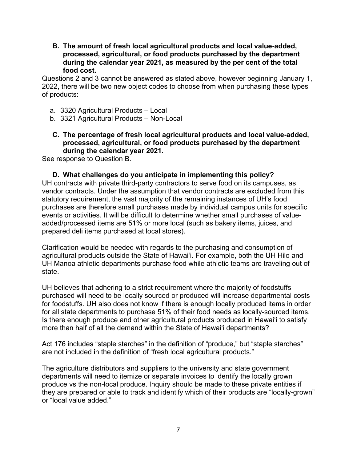**B. The amount of fresh local agricultural products and local value-added, processed, agricultural, or food products purchased by the department during the calendar year 2021, as measured by the per cent of the total food cost.**

Questions 2 and 3 cannot be answered as stated above, however beginning January 1, 2022, there will be two new object codes to choose from when purchasing these types of products:

- a. 3320 Agricultural Products Local
- b. 3321 Agricultural Products Non-Local
- **C. The percentage of fresh local agricultural products and local value-added, processed, agricultural, or food products purchased by the department during the calendar year 2021.**

See response to Question B.

**D. What challenges do you anticipate in implementing this policy?** UH contracts with private third-party contractors to serve food on its campuses, as vendor contracts. Under the assumption that vendor contracts are excluded from this statutory requirement, the vast majority of the remaining instances of UH's food purchases are therefore small purchases made by individual campus units for specific events or activities. It will be difficult to determine whether small purchases of valueadded/processed items are 51% or more local (such as bakery items, juices, and prepared deli items purchased at local stores).

Clarification would be needed with regards to the purchasing and consumption of agricultural products outside the State of Hawaiʻi. For example, both the UH Hilo and UH Manoa athletic departments purchase food while athletic teams are traveling out of state.

UH believes that adhering to a strict requirement where the majority of foodstuffs purchased will need to be locally sourced or produced will increase departmental costs for foodstuffs. UH also does not know if there is enough locally produced items in order for all state departments to purchase 51% of their food needs as locally-sourced items. Is there enough produce and other agricultural products produced in Hawaiʻi to satisfy more than half of all the demand within the State of Hawaiʻi departments?

Act 176 includes "staple starches" in the definition of "produce," but "staple starches" are not included in the definition of "fresh local agricultural products."

The agriculture distributors and suppliers to the university and state government departments will need to itemize or separate invoices to identify the locally grown produce vs the non-local produce. Inquiry should be made to these private entities if they are prepared or able to track and identify which of their products are "locally-grown" or "local value added."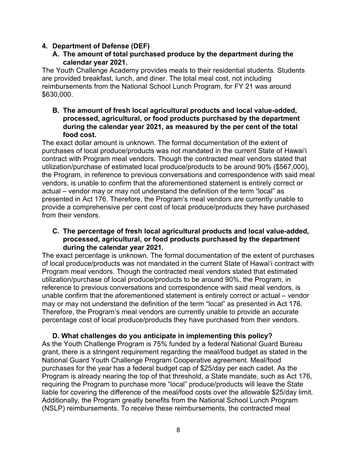### **4. Department of Defense (DEF)**

### **A. The amount of total purchased produce by the department during the calendar year 2021.**

The Youth Challenge Academy provides meals to their residential students. Students are provided breakfast, lunch, and diner. The total meal cost, not including reimbursements from the National School Lunch Program, for FY 21 was around \$630,000.

**B. The amount of fresh local agricultural products and local value-added, processed, agricultural, or food products purchased by the department during the calendar year 2021, as measured by the per cent of the total food cost.**

The exact dollar amount is unknown. The formal documentation of the extent of purchases of local produce/products was not mandated in the current State of Hawaiʻi contract with Program meal vendors. Though the contracted meal vendors stated that utilization/purchase of estimated local produce/products to be around 90% (\$567,000), the Program, in reference to previous conversations and correspondence with said meal vendors, is unable to confirm that the aforementioned statement is entirely correct or actual – vendor may or may not understand the definition of the term "local" as presented in Act 176. Therefore, the Program's meal vendors are currently unable to provide a comprehensive per cent cost of local produce/products they have purchased from their vendors.

#### **C. The percentage of fresh local agricultural products and local value-added, processed, agricultural, or food products purchased by the department during the calendar year 2021.**

The exact percentage is unknown. The formal documentation of the extent of purchases of local produce/products was not mandated in the current State of Hawaiʻi contract with Program meal vendors. Though the contracted meal vendors stated that estimated utilization/purchase of local produce/products to be around 90%, the Program, in reference to previous conversations and correspondence with said meal vendors, is unable confirm that the aforementioned statement is entirely correct or actual – vendor may or may not understand the definition of the term "local" as presented in Act 176. Therefore, the Program's meal vendors are currently unable to provide an accurate percentage cost of local produce/products they have purchased from their vendors.

**D. What challenges do you anticipate in implementing this policy?** As the Youth Challenge Program is 75% funded by a federal National Guard Bureau grant, there is a stringent requirement regarding the meal/food budget as stated in the National Guard Youth Challenge Program Cooperative agreement. Meal/food purchases for the year has a federal budget cap of \$25/day per each cadet. As the Program is already nearing the top of that threshold, a State mandate, such as Act 176, requiring the Program to purchase more "local" produce/products will leave the State liable for covering the difference of the meal/food costs over the allowable \$25/day limit. Additionally, the Program greatly benefits from the National School Lunch Program (NSLP) reimbursements. To receive these reimbursements, the contracted meal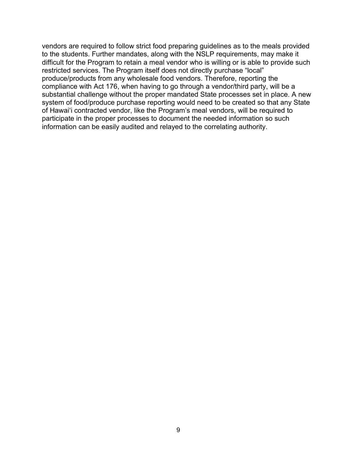vendors are required to follow strict food preparing guidelines as to the meals provided to the students. Further mandates, along with the NSLP requirements, may make it difficult for the Program to retain a meal vendor who is willing or is able to provide such restricted services. The Program itself does not directly purchase "local" produce/products from any wholesale food vendors. Therefore, reporting the compliance with Act 176, when having to go through a vendor/third party, will be a substantial challenge without the proper mandated State processes set in place. A new system of food/produce purchase reporting would need to be created so that any State of Hawaiʻi contracted vendor, like the Program's meal vendors, will be required to participate in the proper processes to document the needed information so such information can be easily audited and relayed to the correlating authority.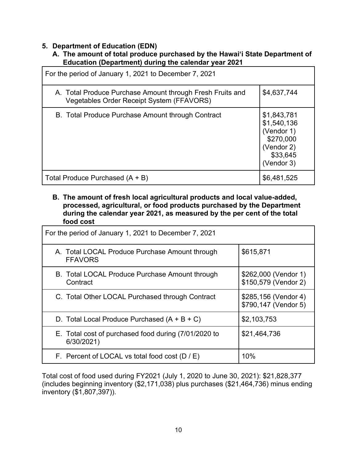### **5. Department of Education (EDN)**

### **A. The amount of total produce purchased by the Hawaiʻi State Department of Education (Department) during the calendar year 2021**

| For the period of January 1, 2021 to December 7, 2021                                                  |                                                                                               |  |  |  |
|--------------------------------------------------------------------------------------------------------|-----------------------------------------------------------------------------------------------|--|--|--|
| A. Total Produce Purchase Amount through Fresh Fruits and<br>Vegetables Order Receipt System (FFAVORS) | \$4,637,744                                                                                   |  |  |  |
| B. Total Produce Purchase Amount through Contract                                                      | \$1,843,781<br>\$1,540,136<br>(Vendor 1)<br>\$270,000<br>(Vendor 2)<br>\$33,645<br>(Vendor 3) |  |  |  |
| Total Produce Purchased (A + B)                                                                        | \$6,481,525                                                                                   |  |  |  |

#### **B. The amount of fresh local agricultural products and local value-added, processed, agricultural, or food products purchased by the Department during the calendar year 2021, as measured by the per cent of the total food cost**

| For the period of January 1, 2021 to December 7, 2021              |                                              |  |  |  |  |
|--------------------------------------------------------------------|----------------------------------------------|--|--|--|--|
| A. Total LOCAL Produce Purchase Amount through<br><b>FFAVORS</b>   | \$615,871                                    |  |  |  |  |
| B. Total LOCAL Produce Purchase Amount through<br>Contract         | \$262,000 (Vendor 1)<br>\$150,579 (Vendor 2) |  |  |  |  |
| C. Total Other LOCAL Purchased through Contract                    | \$285,156 (Vendor 4)<br>\$790,147 (Vendor 5) |  |  |  |  |
| D. Total Local Produce Purchased $(A + B + C)$                     | \$2,103,753                                  |  |  |  |  |
| E. Total cost of purchased food during (7/01/2020 to<br>6/30/2021) | \$21,464,736                                 |  |  |  |  |
| F. Percent of LOCAL vs total food cost $(D/E)$                     | 10%                                          |  |  |  |  |

Total cost of food used during FY2021 (July 1, 2020 to June 30, 2021): \$21,828,377 (includes beginning inventory (\$2,171,038) plus purchases (\$21,464,736) minus ending inventory (\$1,807,397)).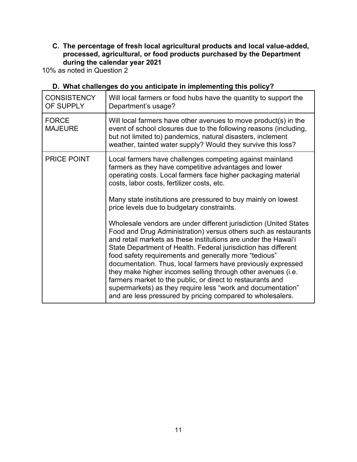# **C. The percentage of fresh local agricultural products and local value-added, processed, agricultural, or food products purchased by the Department during the calendar year 2021**

10% as noted in Question 2

| <b>CONSISTENCY</b><br>OF SUPPLY | Will local farmers or food hubs have the quantity to support the<br>Department's usage?                                                                                                                                                                                                                                                                                                                                                                                                                                                                                                                                                                                                                                                                                                                                                                                                                                                                                                                         |
|---------------------------------|-----------------------------------------------------------------------------------------------------------------------------------------------------------------------------------------------------------------------------------------------------------------------------------------------------------------------------------------------------------------------------------------------------------------------------------------------------------------------------------------------------------------------------------------------------------------------------------------------------------------------------------------------------------------------------------------------------------------------------------------------------------------------------------------------------------------------------------------------------------------------------------------------------------------------------------------------------------------------------------------------------------------|
| <b>FORCE</b><br><b>MAJEURE</b>  | Will local farmers have other avenues to move product(s) in the<br>event of school closures due to the following reasons (including,<br>but not limited to) pandemics, natural disasters, inclement<br>weather, tainted water supply? Would they survive this loss?                                                                                                                                                                                                                                                                                                                                                                                                                                                                                                                                                                                                                                                                                                                                             |
| PRICE POINT                     | Local farmers have challenges competing against mainland<br>farmers as they have competitive advantages and lower<br>operating costs. Local farmers face higher packaging material<br>costs, labor costs, fertilizer costs, etc.<br>Many state institutions are pressured to buy mainly on lowest<br>price levels due to budgetary constraints.<br>Wholesale vendors are under different jurisdiction (United States<br>Food and Drug Administration) versus others such as restaurants<br>and retail markets as these institutions are under the Hawai'i<br>State Department of Health. Federal jurisdiction has different<br>food safety requirements and generally more "tedious"<br>documentation. Thus, local farmers have previously expressed<br>they make higher incomes selling through other avenues (i.e.<br>farmers market to the public, or direct to restaurants and<br>supermarkets) as they require less "work and documentation"<br>and are less pressured by pricing compared to wholesalers. |

# **D. What challenges do you anticipate in implementing this policy?**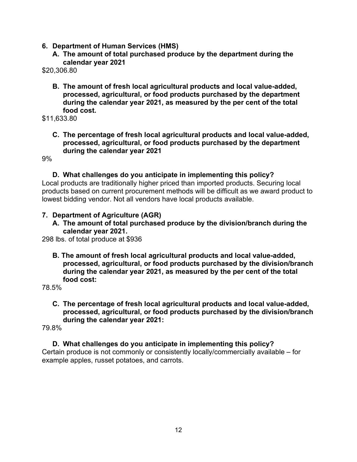- **6. Department of Human Services (HMS)**
	- **A. The amount of total purchased produce by the department during the calendar year 2021**

\$20,306.80

**B. The amount of fresh local agricultural products and local value-added, processed, agricultural, or food products purchased by the department during the calendar year 2021, as measured by the per cent of the total food cost.**

\$11,633.80

**C. The percentage of fresh local agricultural products and local value-added, processed, agricultural, or food products purchased by the department during the calendar year 2021** 

9%

#### **D. What challenges do you anticipate in implementing this policy?**

Local products are traditionally higher priced than imported products. Securing local products based on current procurement methods will be difficult as we award product to lowest bidding vendor. Not all vendors have local products available.

### **7. Department of Agriculture (AGR)**

**A. The amount of total purchased produce by the division/branch during the calendar year 2021.**

298 lbs. of total produce at \$936

**B. The amount of fresh local agricultural products and local value-added, processed, agricultural, or food products purchased by the division/branch during the calendar year 2021, as measured by the per cent of the total food cost:** 

78.5%

### **C. The percentage of fresh local agricultural products and local value-added, processed, agricultural, or food products purchased by the division/branch during the calendar year 2021:**

79.8%

**D. What challenges do you anticipate in implementing this policy?**  Certain produce is not commonly or consistently locally/commercially available – for example apples, russet potatoes, and carrots.